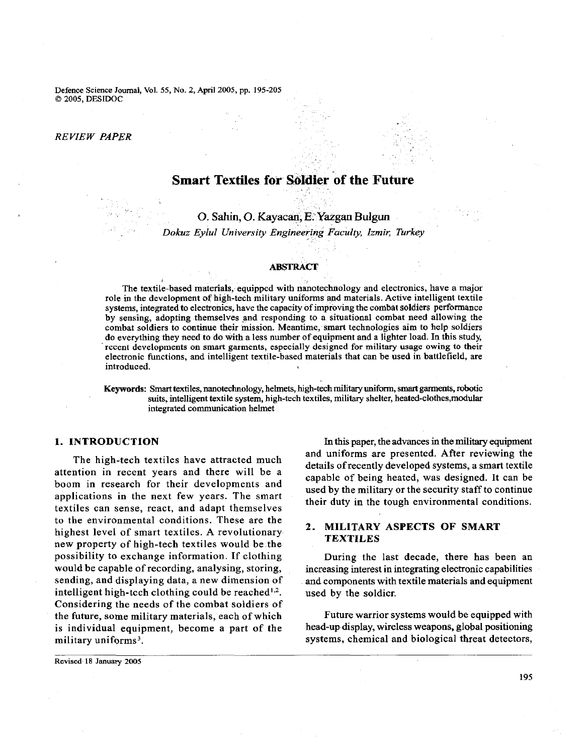Defence Science Journal, Vol. 55, No. 2, April 2005, pp. 195-205 O 2005, DESIDOC

## *RE VIEW PAPER*

# **Smart Textiles for Soldier of the Future**

0. **Sahin,** 0. **Kayacan, E. Yazgan Bulgun**  *Dokuz Eylul University Engineering Faculty, Izmip; Turkey* 

#### **ABSTRACT**

The textile-based materials, equipped with nanotechnology and electronics, have a major role in the development of high-tech milltary uniforms and materials. Active intelligent textile systems, integrated to electronics, have the capacity of improving the combat soldiers performance by sensing, adopting themselves and responding to a situational combat need allowing the combat soldiers to continue their mission. Meantime, smart technologies aim to help soldiers do everything they need to do with a less number of equipment and a lighter load. In this study, recent developments on smart garments, especially designed for military usage owing to their electronic functions, and intelligent textlle-based materials that can be used in battlefield, are introduced.

Keywords: Smart textiles, nanotechnology, helmets, high-tech military uniform, smart garments, robotic suits, intelligent textile system, high-tech textiles, military shelter, heated-clothes,modular integrated communication helmet

# **1. INTRODUCTION**

The high-tech textiles have attracted much attention in recent years and there will be a boom in research for their developments and applications in the next few years. The smart textiles can sense, react, and adapt themselves to the environmental conditions. These are the highest level of smart textiles. A revolutionary new property of high-tech textiles would be the possibility to exchange information. If clothing would be capable of recording, analysing, storing, sending, and displaying data, a new dimension of intelligent high-tcch clothing could be reached $^{1,2}$ . Considering the needs of the combat soldiers of the future, some military materials, each of which is individual equipment, become a part of the military uniforms<sup>3</sup>.

In this paper, the advances in the military equipment and uniforms are presented. After reviewing the details of recently developed systems, a smart textile capable of being heated, was designed. It can be used by the military or the security staff to continue their duty in the tough environmental conditions.

# **2. MILITARY ASPECTS OF SMART TEXTILES**

During the last decade, there has been an increasing interest in integrating electronic capabilities and components with textile materials and equipment used by the soldicr.

Future warrior systems would be equipped with head-up display, wireless weapons, global positioning systems, chemical and biological threat detectors,

**Revised 18 January 2005** 

195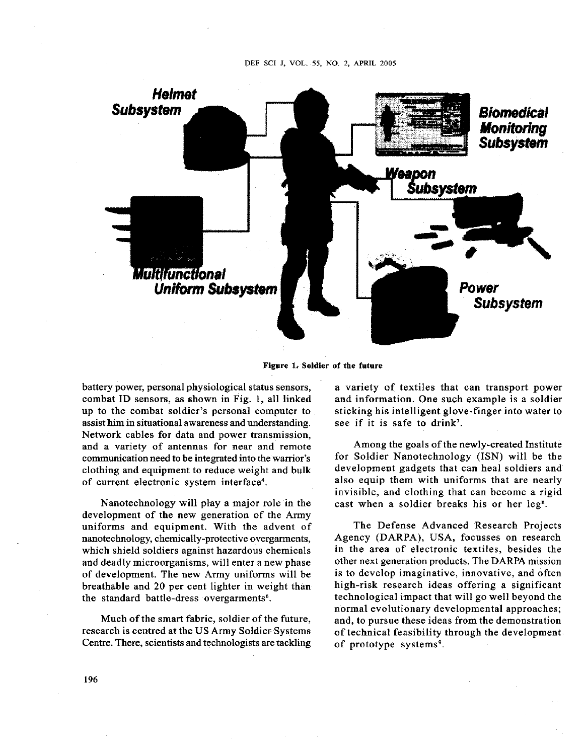

#### **Figure 1, Soldier of the future**

battery power, personal physiological status sensors, combat ID sensors, as shown in Fig. 1, all linked up to the combat soldier's personal computer to assist him in situational awareness and understanding. Network cables for data and power transmission, and a variety of antennas for near and remote communication need to be integrated into the warrior's clothing and equipment to reduce weight and bulk of current electronic system interface4.

Nanotechnology will play a major role in the development of the new generation of the Army uniforms and equipment. With the advent of nanotechnology, chemically-protective overgarments, which shield soldiers against hazardous chemicals and deadly microorganisms, will enter a new phase of development. The new Army uniforms will be breathable and 20 per cent lighter in weight than the standard battle-dress overgarments<sup>6</sup>.

Much of the smart fabric, soldier of the future, research is centred at the USArmy Soldier Systems Centre. There, scientists and technologists are tackling a variety of textiles that can transport power and information. One such example is a soldier sticking his intelligent glove-finger into water to see if it is safe to drink<sup>7</sup>.

Among the goals of the newly-created Institute for Soldier Nanotechnology (ISN) will be the development gadgets that can heal soldiers and also equip them with uniforms that are nearly invisible, and clothing that can become a rigid cast when a soldier breaks his or her leg<sup>8</sup>.

The Defense Advanced Research Projects Agency (DARPA), USA, focusses on research in the area of electronic textiles, besides the other next generation products. The DARPA mission is to develop imaginative, innovative, and often high-risk research ideas offering a significant technological impact that will go well beyond the normal evolutionary developmental approaches; and, to pursue these ideas from the demonstration of technical feasibility through the development of prototype systems<sup>9</sup>.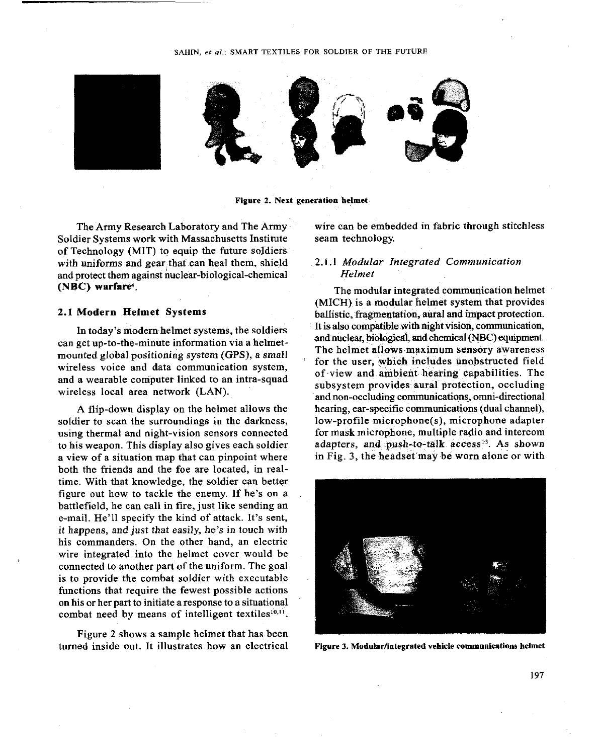#### SAHIN, *et el.:* SMART TEXTILES FOR SOLDIER OF THE FUTURE



Figure 2. Next generation helmet

The Army Research Laboratory and The Army Soldier Systems work with Massachusetts Institute of Technology (MIT) to equip the future soldiers with uniforms and gear that can heal them, shield and protect them against nuclear-biological-chemical (NBC) warfare<sup>4</sup>.

## 2.1 Modern Helmet Systems

In today's modern helmet systems, the soldiers can get up-to-the-minute information via a helmetmounted global positioning system (GPS), a small wireless voice and data communication system, and a wearable computer linked to an intra-squad wireless local area network (LAN).

A flip-down display on the helmet allows the soldier to scan the surroundings in the darkness, using thermal and night-vision sensors connected to his weapon. This display also gives each soldier a view of a situation map that can pinpoint where both the friends and the foe are located, in realtime. With that knowledge, the soldier can better figure out how to tackle the enemy. If he's on a battlefield, he can call in fire, just like sending an e-mail. He'll specify the kind of attack. It's sent, it happens, and just that easily, he's in touch with his commanders. On the other hand, an electric wire integrated into the helmet cover would be connected to another part of the uniform. The goal is to provide the combat soldier with executable functions that require the fewest possible actions on his or her part to initiate a response to a situational combat need by means of intelligent textiles $^{10,11}$ .

Figure 2 shows a sample helmet that has been turned inside out. It illustrates how an electrical Figure 3. Modular/integrated vehicle communications helmet

wire can be embedded in fabric through stitchless seam technology.

## 2.1.1 *Modular Integrated Communication Helmet*

The modular integrated communication helmet (MICH) is a modular helmet system that provides ballistic, fragmentation, aural and impact protection. It is also compatible with night vision, communication, and nuclear, biological, **and** chemical (NBC) equipment. The helmet allows maximum sensory awareness for the user, which includes unobstructed field of view and ambient hearing capabilities. The subsystem provides aural protection, occluding and non-occluding communications, omni-directional hearing, ear-specific communications (dual channel), low-profile microphone(s), microphone adapter for mask microphone, multiple radio and intercom adapters, and push-to-talk access<sup>13</sup>. As shown in Fig. 3, the headset may be worn alone or with

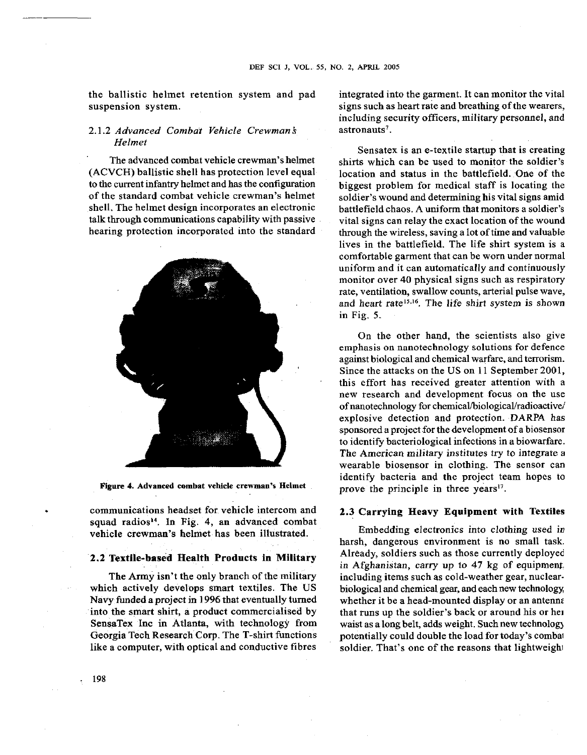the ballistic helmet retention system and pad suspension system.

## 2.1.2 Advanced Combat Vehicle Crewman\$ Helmet

The advanced combat vehicle crewman's helmet (ACVCH) ballistic shell has protection level equal to the current infantry helmet and has the configuration of the standard combat vehicle crewman's helmet shell. The helmet design incorporates an electronic talk through communications capability with passive hearing protection incorporated into the standard



**Figure 4. Advanced combat vehicle crewman's Helmet** 

. communications headset for vehicle intercom and squad radios<sup>14</sup>. In Fig. 4, an advanced combat vehicle crewman's helmet has been illustrated.

# 2.2 Textile-based Health Products in Military

The Army isn't the only branch of the military which actively develops smart textiles. The US Navy funded a project in 1996 that eventually turned into the smart shirt, a product commercialised by SensaTex Inc in Atlanta, with technology from Georgia Tech Research **Corp.** The T-shirt functions like a computer, with optical and conductive fibres

integrated into the garment. It can monitor the vital signs such as heart rate and breathing of the wearers, including security officers, military personnel, and astronauts<sup>7</sup>.

Sensatex is an e-textile startup that is creating shirts which can be used to monitor the soldier's location and status in the battlefield. One of the biggest problem for medical staff is locating the soldier's wound and determining his vital signs amid battlefield chaos. A uniform that monitors a soldier's vital signs can relay the exact location of the wound through the wireless, saving a lot of time and valuable lives in the battlefield. The life shirt system is a comfortable garment that can be worn under normal uniform and it can automatically and continuously monitor over 40 physical signs such as respiratory rate, ventilation, swallow counts, arterial pulse wave, and heart rate<sup>15,16</sup>. The life shirt system is shown in Fig. 5.

On the other hand, the scientists also give emphasis on nanotechnology solutions for defence against biological and chemical warfare, and terrorism. Since the attacks on the US on 11 September 2001, this effort has received greater attention with a new research and development focus on the use of nanotechnology for **chemical/biological/radioactive/**  explosive detection and protection. DARPA has sponsored a project for the development of a biosensor to identify bacteriological infections in a biowarfare. The American military institutes try to integrate a wearable biosensor in clothing. The sensor can identify bacteria and the project team hopes to prove the principle in three years $17$ .

### 2.3 Carrying Heavy Equipment with Textiles

Embedding electronics into clothing used in harsh, dangerous environment is no small task. Already, soldiers such as those currently deployed in Afghanistan, carry up to 47 kg of equipment. including items such as cold-weather gear, nuclearbiological and chemical gear, and each new technology whether it be a head-mounted display or an antenna that runs up the soldier's back or around his or her waist as a long belt, adds weight. Such new technolog) potentially could double the load for today's combai soldier. That's one of the reasons that lightweight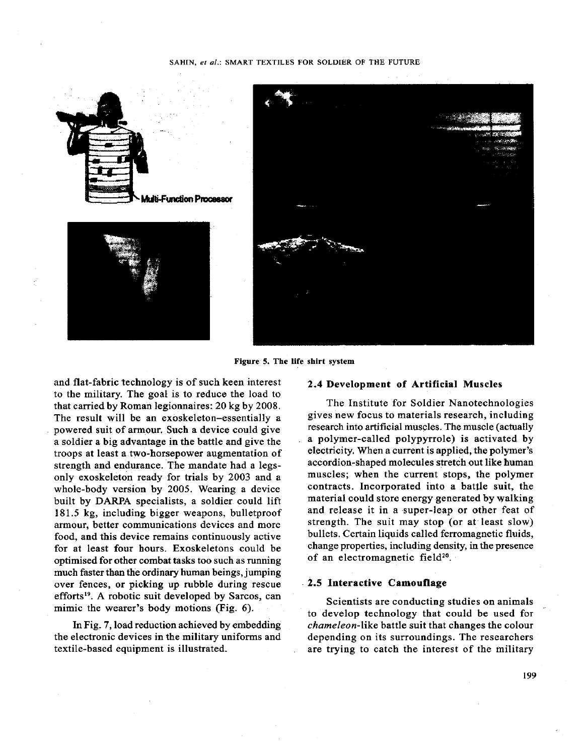## SAHIN, et al.: SMART TEXTILES FOR SOLDIER OF THE FUTURE



**Figure 5. The life shirt system** 

and flat-fabric technology is of such keen interest to the military. The goal is to reduce the load to that carried by Roman legionnaires: **20** kg by **2008.**  The result will be an exoskeleton-essentially a powered suit of amour. Such a device could give a soldier a big advantage in the battle and give the troops at least a two-horsepower augmentation of strength and endurance. The mandate had a legsonly exoskeleton ready for trials by **2003** and a whole-body version by **2005.** Wearing a device built by DARPA specialists, a soldier could lift 181.5 kg, including bigger weapons, bulletproof armour, better communications devices and more food, and this device remains continuously active for at least four hours. Exoskeletons could be optimised for other combat tasks too such as running much faster than the ordinary human beings, jumping over fences, or picking up rubble during rescue efforts<sup>19</sup>. A robotic suit developed by Sarcos, can mimic the wearer's body motions (Fig. 6).

In Fig. 7, load reduction achieved by embedding the electronic devices in the military uniforms and textile-based equipment is illustrated.

### 2.4 Development of Artificial Muscles

The Institute for Soldier Nanotechnologies gives new focus to materials research, including research into artificial muscles. The muscle (actually a polymer-called polypyrrole) is activated by electricity. When a current is applied, the polymer's accordion-shaped molecules stretch out like human muscles; when the current stops, the polymer contracts. Incorporated into a battle suit, the material could store energy generated by walking and release it in a super-leap or other feat of strength. The suit may stop (or at least slow) bullets. Certain liquids called ferromagnetic fluids, change properties, including density, in the presence of an electromagnetic field<sup>20</sup>.

#### 2.5 Interactive Camouflage

Scientists are conducting studies on animals to develop technology that could be used for chameleon-like battle suit that changes the colour depending on its surroundings. The researchers are trying to catch the interest of the military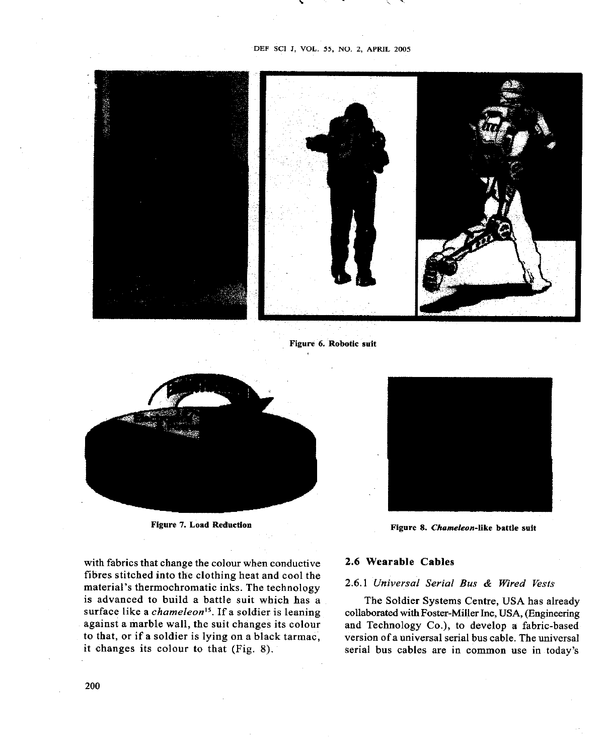**DEF SCI J, VOL. 55, NO. 2, APRIL 2005** 



**Figure 6. Robotic suit** 



with fabrics that change the colour when conductive **2.6** Wearable Cables fibres stitched into the clothing heat and cool the material's thermochromatic inks. The technology **2.6.1 Universal Serial Bus & Wired Vests** is advanced to build a battle suit which has a The Soldier Systems Centre, USA has already surface like a *chameleon*<sup>15</sup>. If a soldier is leaning collaborated with Foster-Miller Inc, USA, (Engineering surface like a *chameleon*<sup>15</sup>. If a soldier is leaning collaborated with Foster-Miller Inc, USA, (Engineering against a marble wall, the suit changes its colour and Technology Co.), to develop a fabric-based against a marble wall, the suit changes its colour and Technology Co.), to develop a fabric-based<br>to that, or if a soldier is lying on a black tarmac, version of a universal serial bus cable. The universal



Figure 7. Load Reduction **Figure 8. Chameleon-like battle suit** Figure 8. Chameleon-like battle suit

to that, or if a soldier is lying on a black tarmac, version of a universal serial bus cable. The universal<br>it changes its colour to that (Fig. 8). Serial bus cables are in common use in today's serial bus cables are in common use in today's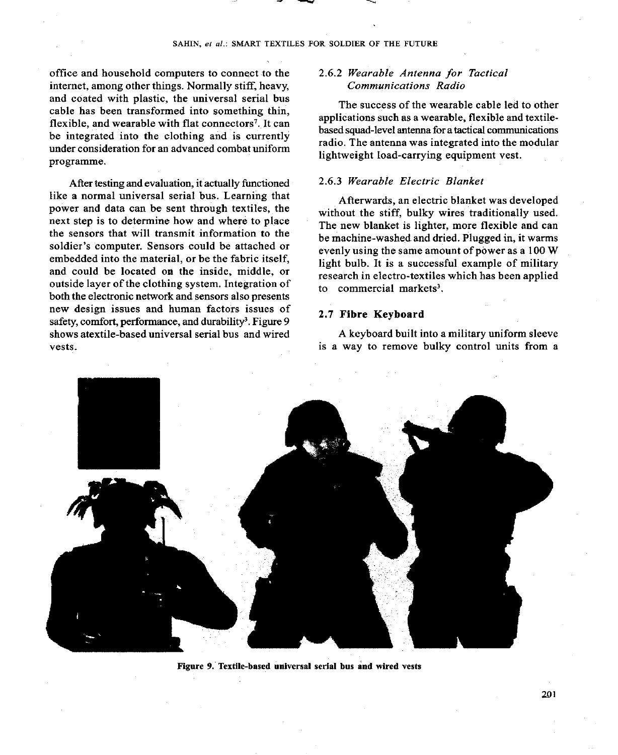office and household computers to connect to the internet, among other things. Normally stiff, heavy, and coated with plastic, the universal serial bus cable has been transformed into something thin, flexible, and wearable with flat connectors<sup>7</sup>. It can be integrated into the clothing and is currently under consideration for an advanced combat uniform programme.

After testing and evaluation, it actually functioned like a normal universal serial bus. Learning that power and data can be sent through textiles, the next step is to determine how and where to place the sensors that will transmit information to the soldier's computer. Sensors could be attached or embedded into the material, or be the fabric itself, and could be located on the inside, middle, or outside layer of the clothing system. Integration of both the electronic network and sensors also presents new design issues and human factors issues of safety, comfort, performance, and durability<sup>3</sup>. Figure 9 shows atextile-based universal serial bus and wired vests.

### *2.6.2 Wearable Antenna for Tactical Communications Radio*

The success of the wearable cable led to other applications such as a wearable, flexible and textilebased squad-level antenna for a tactical communications radio. The antenna was integrated into the modular lightweight Ioad-carrying equipment vest.

#### *2.6.3 Wearable Electric Blanket*

Afterwards, an electric blanket was developed without the stiff, bulky wires traditionally used. The new blanket is lighter, more flexible and can be machine-washed and dried. Plugged in, it warms evenly using the same amount of power as a 100 W light bulb. It is a successful example of military research in electro-textiles which has been applied to commercial markets<sup>3</sup>.

## 2.7 Fibre Keyboard

A keyboard built into a military uniform sleeve is a way to remove bulky control units from a



**Figure 9. Textile-based universal serial bus and wired vests**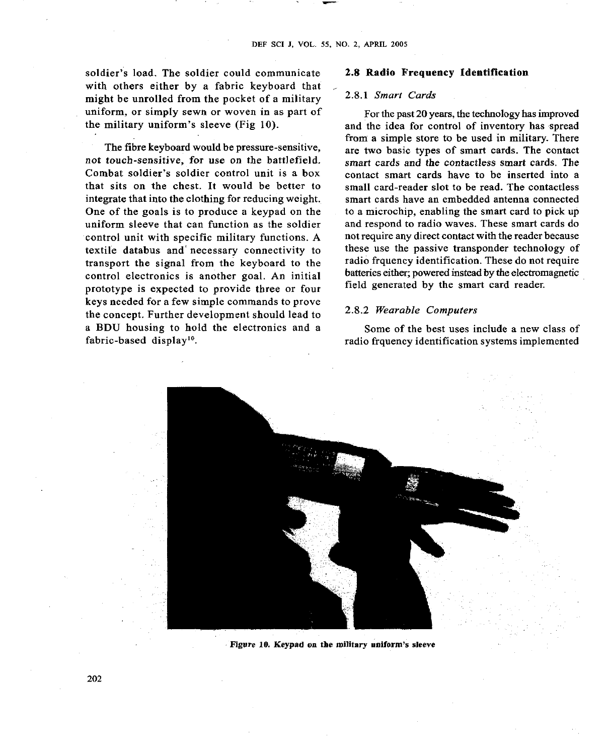soldier's load. The soldier could communicate with others either by a fabric keyboard that might be unrolled from the pocket of a military uniform, or simply sewn or woven in as part of the military uniform's sleeve (Fig **10).** 

The fibre keyboard would be pressure-sensitive, not touch-sensitive, for use on the battlefield. Combat soldier's soldier control unit is a box that sits on the chest. It would be better to integrate that into the clothing for reducing weight. One of the goals is to produce a keypad on the uniform sleeve that can function as the soldier control unit with specific military functions. A textile databus and' necessary connectivity to transport the signal from the keyboard to the control electronics is another goal. An initial prototype is expected to provide three or four keys needed for a few simple commands to prove the concept. Further development should lead to a BDU housing to hold the electronics and a fabric-based display<sup>10</sup>.

#### **2.8 Radio Frequency Identification**

#### *2.8.1 Smart Cards*

For the past **20** years, the technology has improved and the idea for control of inventory has spread from a simple store to be used in military. There are two basic types of smart cards. The contact smart cards and the contactless smart cards. The contact smart cards have to be inserted into a small card-reader slot to be read. The contactless smart cards have an embedded antenna connected to a microchip, enabling the smart card to pick up and respond to radio waves. These smart cards do not require any direct contact with the reader because these use the passive transponder technology of radio frquency identification. These do not require batteries either; powered instead by the electromagnetic field generated by the smart card reader.

#### **2.8.2** *Wearable Computers*

Some of the best uses include a new class of radio frquency identification systems implemented



**Figure 10. Keypad on the military uniform's sleeve**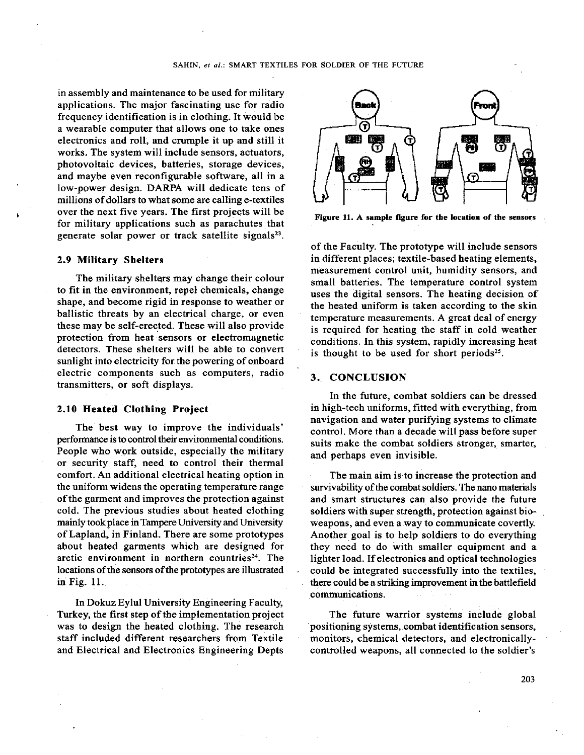in assembly and maintenance to be used for military applications. The major fascinating use for radio frequency identification is in clothing. It would be a wearable computer that allows one to take ones electronics and roll, and crumple it up and still it works. The system will include sensors, actuators, photovoltaic devices, batteries, storage devices, and maybe even reconfigurable software, all in a low-power design. DARPA will dedicate tens of millions of dollars to what some are calling e-textiles **<sup>1</sup>**over the next five years. The first projects will be for military applications such as parachutes that generate solar power or track satellite signals<sup>23</sup>.

#### 2.9 Military Shelters

The military shelters may change their colour to fit in the environment, repel chemicals, change shape, and become rigid in response to weather or ballistic threats by an electrical charge, or even these may be self-erected. These will also provide protection from heat sensors or electromagnetic detectors. These shelters will be able to convert sunlight into electricity for the powering of onboard electric components such as computers, radio transmitters, or soft displays.

#### 2.10 Heated Clothing Projeet

The best way to improve the individuals' performance is to control their environmental conditions. People who work outside, especially the military or security staff, need to control their thermal comfort. An additional electrical heating option in the uniform widens the operating temperature range of the garment and improves the protection against cold. The previous studies about heated clothing mainly took place in Tampere University and University of Lapland, in Finland. There are some prototypes about heated garments which are designed for arctic environment in northern countries<sup>24</sup>. The locations of the sensors of the prototypes are illustrated in Fig. 11.

In Dokuz Eylul University Engineering Faculty, Turkey, the first step of the implementation project was to design the heated clothing. The research staff included different researchers from Textile and Electrical and Electronics Engineering Depts



**Figure 11. A sample figure for the location of the sensors** 

of the Faculty. The prototype will include sensors in different places; textile-based heating elements, measurement control unit, humidity sensors, and small batteries. The temperature control system uses the digital sensors. The heating decision of the heated uniform is taken according to the skin temperature measurements. A great deal of energy is required for heating the staff in cold weather conditions. In this system, rapidly increasing heat is thought to be used for short periods<sup>25</sup>.

#### **3..** CONCLUSION

In the future, combat soldiers can be dressed in high-tech uniforms, fitted with everything, from navigation and water purifying systems to climate control. More than a decade will pass before super suits make the combat soldiers stronger, smarter, and perhaps even invisible.

The main aim is to increase the protection and survivability of the combat soldiers. The nano materials and smart structures can also provide the future soldiers with super strength, protection against bioweapons, and even a way to communicate covertly. Another goal is to help soldiers to do everything they need to do with smaller equipment and a lighter load. If electronics and optical technologies could be integrated successfully into the textiles, there could be a striking improvement in the battlefield communications.

The future warrior systems include global positioning systems, combat identification sensors, monitors, chemical detectors, and electronicallycontrolled weapons, all connected to the soldier's

**203**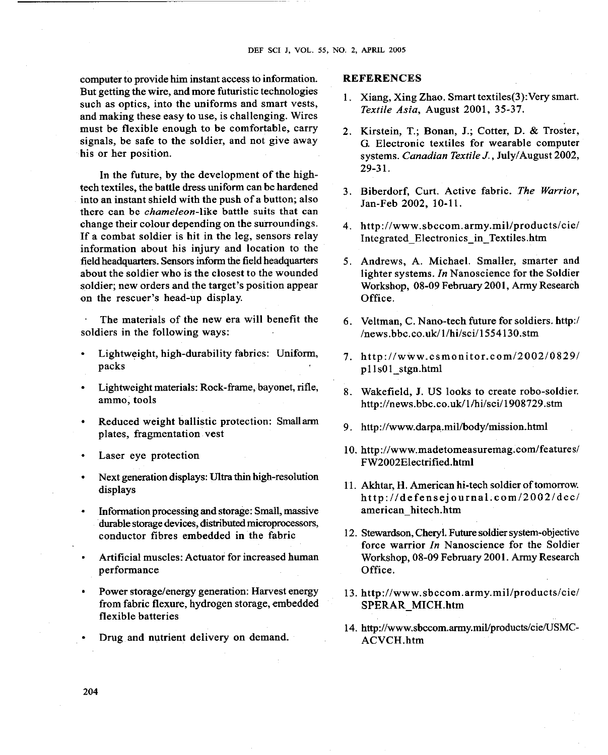computer to provide him instant access to information. **REFERENCES**  But getting the wire, and more futuristic technologies such as optics, into the uniforms and smart vests, and making these easy to use, is challenging. Wires must be flexible enough to be comfortable, carry signals, be safe to the soldier, and not give away his or her position.

In the future, by the development of the hightech textiles, the battle dress uniform can be hardened into an instant shield with the push of a button; also there can be chameleon-like battle suits that can change their colour depending on the surroundings. If a combat soldier is hit in the leg, sensors relay information about his injury and location to the field headquarters. Sensors inform the field headquarters about the soldier who is the closest to the wounded soldier; new orders and the target's position appear on the rescuer's head-up display.

The materials of the new era will benefit the soldiers in the following ways:

- Lightweight, high-durability fabrics: Uniform, packs
- Lightweight materials: Rock-frame, bayonet, rifle, ammo, tools
- Reduced weight ballistic protection: Smallarm plates, fragmentation vest
- Laser eye protection
- Next generation displays: Ultra thin high-resolution displays
- Information processing and storage: Small, massive durable storage devices, distributed microprocessors, conductor fibres embedded in the fabric
- Artificial muscles: Actuator for increased human performance
- Power storage/energy generation: Harvest energy from fabric flexure, hydrogen storage, embedded flexible batteries
- Drug and nutrient delivery on demand.

- 1. Xiang, Xing Zhao. Smart textiles(3):Very smart. Textile Asia, August 2001, 35-37.
- 2. Kirstein, T.; Bonan, J.; Cotter, D. & Troster, *G.* Electronic textiles for wearable computer systems. Canadian Textile *J.,* July/August 2002,  $29-31.$
- 3. Biberdorf, Curt. Active fabric. The Warrior, Jan-Feb 2002, 10-11.
- 4. http://www.sbccom.army.mil/products/cie/ Integrated Electronics\_in\_Textiles.htm
- 5. Andrews, A. Michael. Smaller, smarter and lighter systems. In Nanoscience for the Soldier Workshop, 08-09 February 2001, Army Research Office.
- 6. Veltman, C. Nano-tech future for soldiers. http:/  $/$ news.bbc.co.uk $/1/h$ i/sci $/1554130$ .stm
- 7. http://www.csmonitor.com/2002/0829/ p11s01 stgn.html
- 8. Wakefield, J. US looks to create robo-soldier. http://news.bbc.co.uWl/hi/sci/1908729.stm
- 9. http://www.darpa.mil/body/mission.html
- 10. http://www.madetomeasuremag.com/features/ FW2002Electrified.html
- 11. Akhtar, H. American hi-tech soldier of tomorrow. **http://defensejournal.com/20021dec/**  american-hitech.htm
- 12. Stewardson, Cheryl. Future soldier system-objective force warrior In Nanoscience for the Soldier Workshop, 08-09 February 2001. Army Research Office.
- 13. http://www.sbccom.army.mil/products/cie/ SPERAR MICH.htm
- 14. http://www.sbccom.army.mil/products/cie/USMC-**ACVCH.htm**